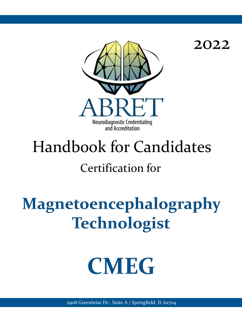

2022

# Handbook for Candidates

## Certification for

## Magnetoencephalography **Technologist**

## **CMEG**

2908 Greenbriar Dr., Suite A | Springfield, IL 62704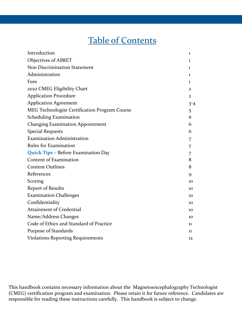## Table of Contents

| Introduction                                  | 1              |
|-----------------------------------------------|----------------|
| Objectives of ABRET                           | 1              |
| Non Discrimination Statement                  | 1              |
| Administration                                | 1              |
| Fees                                          | 1              |
| 2022 CMEG Eligibility Chart                   | $\overline{2}$ |
| <b>Application Procedure</b>                  | $\overline{2}$ |
| <b>Application Agreement</b>                  | $3 - 4$        |
| MEG Technologist Certification Program Course | 5              |
| <b>Scheduling Examination</b>                 | 6              |
| <b>Changing Examination Appointment</b>       | 6              |
| <b>Special Requests</b>                       | 6              |
| <b>Examination Administration</b>             | 7              |
| <b>Rules for Examination</b>                  | 7              |
| Quick Tips - Before Examination Day           | 7              |
| <b>Content of Examination</b>                 | 8              |
| <b>Content Outlines</b>                       | 8              |
| References                                    | 9              |
| Scoring                                       | 10             |
| <b>Report of Results</b>                      | 10             |
| <b>Examination Challenges</b>                 | 10             |
| Confidentiality                               | 10             |
| <b>Attainment of Credential</b>               | 10             |
| Name/Address Changes                          | 10             |
| Code of Ethics and Standard of Practice       | 11             |
| Purpose of Standards                          | 11             |
| <b>Violations Reporting Requirements</b>      | 12             |

This handbook contains necessary information about the Magnetoencephalography Technologist (CMEG) certification program and examination. Please retain it for future reference. Candidates are responsible for reading these instructions carefully. This handbook is subject to change.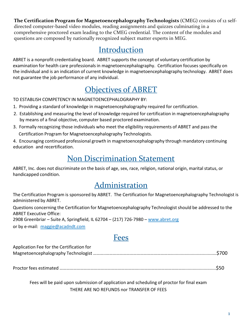**The Certification Program for Magnetoencephalography Technologists** (CMEG) consists of 12 selfdirected computer-based video modules, reading assignments and quizzes culminating in a comprehensive proctored exam leading to the CMEG credential. The content of the modules and questions are composed by nationally recognized subject matter experts in MEG.

#### Introduction

ABRET is a nonprofit credentialing board. ABRET supports the concept of voluntary certification by examination for health care professionals in magnetoencephalography. Certification focuses specifically on the individual and is an indication of current knowledge in magnetoencephalography technology. ABRET does not guarantee the job performance of any individual.

## Objectives of ABRET

TO ESTABLISH COMPETENCY IN MAGNETOENCEPHALOGRAPHY BY:

- 1. Providing a standard of knowledge in magnetoencephalography required for certification.
- 2. Establishing and measuring the level of knowledge required for certification in magnetoencephalography by means of a final objective, computer based proctored examination.
- 3. Formally recognizing those individuals who meet the eligibility requirements of ABRET and pass the

Certification Program for Magnetoencephalography Technologists.

4. Encouraging continued professional growth in magnetoencephalography through mandatory continuing education and recertification.

## Non Discrimination Statement

ABRET, Inc. does not discriminate on the basis of age, sex, race, religion, national origin, marital status, or handicapped condition.

## Administration

The Certification Program is sponsored by ABRET. The Certification for Magnetoencephalography Technologist is administered by ABRET.

Questions concerning the Certification for Magnetoencephalography Technologist should be addressed to the ABRET Executive Office:

2908 Greenbriar – Suite A, Springfield, IL 62704 – (217) 726-7980 – [www.abret.org](http://www.abret.org/)

or by e-mail: [maggie@acadndt.com](mailto:maggie@acadndt.com)

#### Fees

| Application Fee for the Certification for |  |
|-------------------------------------------|--|
|                                           |  |

Proctor fees estimated ……………………………………………………………..………………………………….........................\$50

Fees will be paid upon submission of application and scheduling of proctor for final exam THERE ARE NO REFUNDS nor TRANSFER OF FEES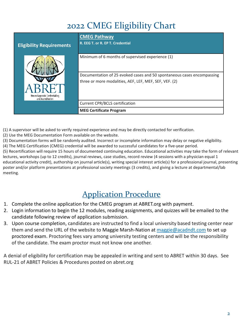## 2022 CMEG Eligibility Chart

| <b>Eligibility Requirements</b>                    | <b>CMEG Pathway</b><br>R. EEG T. or R. EP T. Credential                |
|----------------------------------------------------|------------------------------------------------------------------------|
|                                                    | Minimum of 6 months of supervised experience (1)                       |
|                                                    | Documentation of 25 evoked cases and 50 spontaneous cases encompassing |
|                                                    | three or more modalities, AEF, LEF, MEF, SEF, VEF. (2)                 |
| Neurodiagnostic Credentialing<br>and Accreditation |                                                                        |
|                                                    | <b>Current CPR/BCLS certification</b>                                  |
|                                                    | <b>MEG Certificate Program</b>                                         |

(1) A supervisor will be asked to verify required experience and may be directly contacted for verification.

(2) Use the MEG Documentation Form available on the website.

(3) Documentation forms will be randomly audited. Incorrect or incomplete information may delay or negative eligibility.

(4) The MEG Certification (CMEG) credential will be awarded to successful candidates for a five-year period.

(5) Recertification will require 15 hours of documented continuing education. Educational activities may take the form of relevant lectures, workshops (up to 12 credits), journal reviews, case studies, record review (4 sessions with a physician equal 1 educational activity credit), authorship on journal article(s), writing special interest article(s) for a professional journal, presenting poster and/or platform presentations at professional society meetings (3 credits), and giving a lecture at departmental/lab meeting.

## Application Procedure

- 1. Complete the online application for the CMEG program at ABRET.org with payment.
- 2. Login information to begin the 12 modules, reading assignments, and quizzes will be emailed to the candidate following review of application submission.
- 3. Upon course completion, candidates are instructed to find a local university based testing center near them and send the URL of the website to Maggie Marsh-Nation at [maggie@acadndt.com](mailto:maggie@acadndt.com) to set up proctored exam. Proctoring fees vary among university testing centers and will be the responsibility of the candidate. The exam proctor must not know one another.

A denial of eligibility for certification may be appealed in writing and sent to ABRET within 30 days. See RUL-21 of ABRET Policies & Procedures posted on abret.org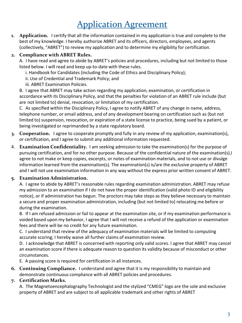## Application Agreement

**1. Application.** I certify that all the information contained in my application is true and complete to the best of my knowledge. I hereby authorize ABRET and its officers, directors, employees, and agents (collectively, "ABRET") to review my application and to determine my eligibility for certification.

#### **2. Compliance with ABRET Rules.**

A. I have read and agree to abide by ABRET's policies and procedures, including but not limited to those listed below. I will read and keep up-to-date with these rules.

- i. Handbook for Candidates (including the Code of Ethics and Disciplinary Policy);
- ii. Use of Credential and Trademark Policy; and
- iii. ABRET Examination Policies.

B. I agree that ABRET may take action regarding my application, examination, or certification in accordance with its Disciplinary Policy, and that the penalties for violation of an ABRET rule include (but are not limited to) denial, revocation, or limitation of my certification.

C. As specified within the Disciplinary Policy, I agree to notify ABRET of any change in name, address, telephone number, or email address, and of any development bearing on certification such as (but not limited to) suspension, revocation, or expiration of a state license to practice, being sued by a patient, or being investigated or reprimanded by a state regulatory board.

- **3. Cooperation.** I agree to cooperate promptly and fully in any review of my application, examination(s), or certification, and I agree to submit any additional information requested.
- 4. **Examination Confidentiality.** I am seeking admission to take the examination(s) for the purpose of pursuing certification, and for no other purpose. Because of the confidential nature of the examination(s), I agree to not make or keep copies, excerpts, or notes of examination materials, and to not use or divulge information learned from the examination(s). The examination(s) is/are the exclusive property of ABRET and I will not use examination information in any way without the express prior written consent of ABRET.

#### **5. Examination Administration.**

A. I agree to abide by ABRET's reasonable rules regarding examination administration. ABRET may refuse my admission to an examination if I do not have the proper identification (valid photo ID and eligibility notice), or if administration has begun. The proctors may take steps as they believe necessary to maintain a secure and proper examination administration, including (but not limited to) relocating me before or during the examination.

B. If I am refused admission or fail to appear at the examination site, or if my examination performance is voided based upon my behavior, I agree that I will not receive a refund of the application or examination fees and there will be no credit for any future examination.

C. I understand that review of the adequacy of examination materials will be limited to computing accurate scoring; I hereby waive all further claims of examination review.

D. I acknowledge that ABRET is concerned with reporting only valid scores. I agree that ABRET may cancel an examination score if there is adequate reason to question its validity because of misconduct or other circumstances.

E. A passing score is required for certification in all instances.

**6. Continuing Compliance.** I understand and agree that it is my responsibility to maintain and demonstrate continuous compliance with all ABRET policies and procedures.

#### **7. Certification Marks.**

A. The Magnetoencephalography Technologist and the stylized "CMEG" logo are the sole and exclusive property of ABRET and are subject to all applicable trademark and other rights of ABRET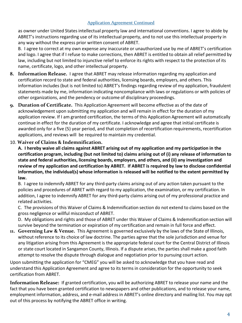#### Application Agreement Continued

as owner under United States intellectual property law and international conventions. I agree to abide by ABRET's instructions regarding use of its intellectual property, and to not use this intellectual property in any way without the express prior written consent of ABRET.

B. I agree to correct at my own expense any inaccurate or unauthorized use by me of ABRET's certification and logo. I agree that if I refuse to make corrections, then ABRET is entitled to obtain all relief permitted by law, including but not limited to injunctive relief to enforce its rights with respect to the protection of its name, certificate, logo, and other intellectual property.

- **8. Information Release.** I agree that ABRET may release information regarding my application and certification record to state and federal authorities, licensing boards, employers, and others. This information includes (but is not limited to) ABRET's findings regarding review of my application, fraudulent statements made by me, information indicating noncompliance with laws or regulations or with policies of other organizations, and the pendency or outcome of disciplinary proceedings.
- **9. Duration of Certificate.** This Application Agreement will become effective as of the date of acknowledgement upon submitting my application and will remain in effect for the duration of my application review. If I am granted certification, the terms of this Application Agreement will automatically continue in effect for the duration of my certificate. I acknowledge and agree that initial certificate is awarded only for a five (5) year period, and that completion of recertification requirements, recertification applications, and reviews will be required to maintain my credential.

#### 10. **Waiver of Claims & Indemnification.**

**A. I hereby waive all claims against ABRET arising out of my application and my participation in the certification program, including (but not limited to) claims arising out of (i) any release of information to state and federal authorities, licensing boards, employers, and others, and (ii) any investigation and review of my application and certification by ABRET. If ABRET is required by law to disclose confidential information, the individual(s) whose information is released will be notified to the extent permitted by law.**

B. I agree to indemnify ABRET for any third-party claims arising out of any action taken pursuant to the policies and procedures of ABRET with regard to my application, the examination, or my certification. In addition, I agree to indemnify ABRET for any third-party claims arising out of my professional practice and related activities.

C. The provisions of this Waiver of Claims & Indemnification section do not extend to claims based on the gross negligence or willful misconduct of ABRET.

D. My obligations and rights and those of ABRET under this Waiver of Claims & Indemnification section will survive beyond the termination or expiration of my certification and remain in full force and effect.

**11. Governing Law & Venue.** This Agreement is governed exclusively by the laws of the State of Illinois, without reference to its choice of law doctrine. The parties agree that the sole jurisdiction and venue for any litigation arising from this Agreement is the appropriate federal court for the Central District of Illinois or state court located in Sangamon County, Illinois. If a dispute arises, the parties shall make a good faith attempt to resolve the dispute through dialogue and negotiation prior to pursuing court action.

Upon submitting the application for "CMEG" you will be asked to acknowledge that you have read and understand this Application Agreement and agree to its terms in consideration for the opportunity to seek certification from ABRET.

**Information Release:** If granted certification, you will be authorizing ABRET to release your name and the fact that you have been granted certification to newspapers and other publications, and to release your name, employment information, address, and e-mail address in ABRET's online directory and mailing list. You may opt out of this process by notifying the ABRET office in writing.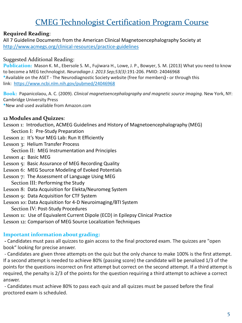#### CMEG Technologist Certification Program Course

#### **Required Reading**:

All 7 Guideline Documents from the American Clinical Magnetoencephalography Society at <http://www.acmegs.org/clinical-resources/practice-guidelines>

#### Suggested Additional Reading:

**Publication:** Mason K. M., Ebersole S. M., Fujiwara H., Lowe, J. P., Bowyer, S. M. (2013) What you need to know to become a MEG technologist. *Neurodiagn J. 2013 Sep;53(3)*:191-206. PMID: 24046968 **\***Available on the ASET - The Neurodiagnostic Society website (free for members**) -** or through this link: <https://www.ncbi.nlm.nih.gov/pubmed/24046968>

**Book:** Papanicolaou, A. C. (2009). *Clinical magnetoencephalography and magnetic source imaging.* New York, NY: Cambridge University Press **\***New and used available from Amazon.com

#### **12 Modules and Quizzes**:

Lesson 1: Introduction, ACMEG Guidelines and History of Magnetoencephalography (MEG)

- Section I: Pre-Study Preparation
- Lesson 2: It's Your MEG Lab: Run It Efficiently
- Lesson 3: Helium Transfer Process
	- Section II: MEG Instrumentation and Principles
- Lesson 4: Basic MEG
- Lesson 5: Basic Assurance of MEG Recording Quality
- Lesson 6: MEG Source Modeling of Evoked Potentials
- Lesson 7: The Assessment of Language Using MEG Section III: Performing the Study
- Lesson 8: Data Acquisition for Elekta/Neuromeg System
- Lesson 9: Data Acquisition for CTF System
- Lesson 10: Data Acquisition for 4-D Neuroimaging/BTI System Section IV: Post-Study Procedures
- Lesson 11: Use of Equivalent Current Dipole (ECD) in Epilepsy Clinical Practice
- Lesson 12: Comparison of MEG Source Localization Techniques

#### **Important information about grading:**

**-** Candidates must pass all quizzes to gain access to the final proctored exam. The quizzes are "open book" looking for precise answer.

- Candidates are given three attempts on the quiz but the only chance to make 100% is the first attempt. If a second attempt is needed to achieve 80% (passing score) the candidate will be penalized 1/3 of the points for the questions incorrect on first attempt but correct on the second attempt. If a third attempt is required, the penalty is 2/3 of the points for the question requiring a third attempt to achieve a correct answer.

- Candidates must achieve 80% to pass each quiz and all quizzes must be passed before the final proctored exam is scheduled.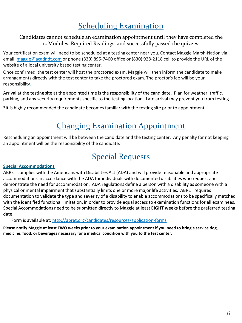### **Scheduling Examination**

Candidates cannot schedule an examination appointment until they have completed the 12 Modules, Required Readings, and successfully passed the quizzes.

Your certification exam will need to be scheduled at a testing center near you. Contact Maggie Marsh-Nation via email: [maggie@acadndt.com](mailto:maggie@acadndt.com) or phone (830) 895-7460 office or (830) 928-2118 cell to provide the URL of the website of a local university based testing center.

Once confirmed the test center will host the proctored exam, Maggie will then inform the candidate to make arrangements directly with the test center to take the proctored exam. The proctor's fee will be your responsibility.

Arrival at the testing site at the appointed time is the responsibility of the candidate. Plan for weather, traffic, parking, and any security requirements specific to the testing location. Late arrival may prevent you from testing.

**\***It is highly recommended the candidate becomes familiar with the testing site prior to appointment

### Changing Examination Appointment

Rescheduling an appointment will be between the candidate and the testing center. Any penalty for not keeping an appointment will be the responsibility of the candidate.

#### Special Requests

#### **Special Accommodations**

ABRET complies with the Americans with Disabilities Act (ADA) and will provide reasonable and appropriate accommodations in accordance with the ADA for individuals with documented disabilities who request and demonstrate the need for accommodation. ADA regulations define a person with a disability as someone with a physical or mental impairment that substantially limits one or more major life activities. ABRET requires documentation to validate the type and severity of a disability to enable accommodations to be specifically matched with the identified functional limitation, in order to provide equal access to examination functions for all examinees. Special Accommodations need to be submitted directly to Maggie at least **EIGHT weeks** before the preferred testing date.

Form is available at: <http://abret.org/candidates/resources/application-forms>

**Please notify Maggie at least TWO weeks prior to your examination appointment if you need to bring a service dog, medicine, food, or beverages necessary for a medical condition with you to the test center.**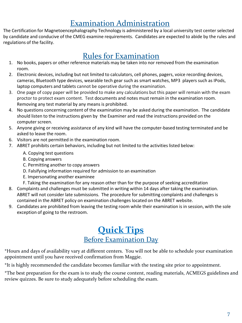#### Examination Administration

The Certification for Magnetoencephalography Technology is administered by a local university test center selected by candidate and conducive of the CMEG examine requirements. Candidates are expected to abide by the rules and regulations of the facility.

#### Rules for Examination

- 1. No books, papers or other reference materials may be taken into nor removed from the examination room.
- 2. Electronic devices, including but not limited to calculators, cell phones, pagers, voice recording devices, cameras, Bluetooth type devices, wearable tech gear such as smart watches, MP3 players such as IPods, laptop computers and tablets cannot be operative during the examination.
- 3. One page of copy paper will be provided to make any calculations but this paper will remain with the exam proctor to protect exam content. Test documents and notes must remain in the examination room. Removing any test material by any means is prohibited.
- 4. No questions concerning content of the examination may be asked during the examination. The candidate should listen to the instructions given by the Examiner and read the instructions provided on the computer screen.
- 5. Anyone giving or receiving assistance of any kind will have the computer-based testing terminated and be asked to leave the room.
- 6. Visitors are not permitted in the examination room.
- 7. ABRET prohibits certain behaviors, including but not limited to the activities listed below:
	- A. Copying test questions
	- B. Copying answers
	- C. Permitting another to copy answers
	- D. Falsifying information required for admission to an examination
	- E. Impersonating another examinee
	- F. Taking the examination for any reason other than for the purpose of seeking accreditation
- 8. Complaints and challenges must be submitted in writing within 14 days after taking the examination. ABRET will not consider late submissions. The procedure for submitting complaints and challenges is contained in the ABRET policy on examination challenges located on the ABRET website.
- 9. Candidates are prohibited from leaving the testing room while their examination is in session, with the sole exception of going to the restroom.

#### **Quick Tips** Before Examination Day

\*Hours and days of availability vary at different centers. You will not be able to schedule your examination appointment until you have received confirmation from Maggie.

\*It is highly recommended the candidate becomes familiar with the testing site prior to appointment.

\*The best preparation for the exam is to study the course content, reading materials, ACMEGS guidelines and review quizzes. Be sure to study adequately before scheduling the exam.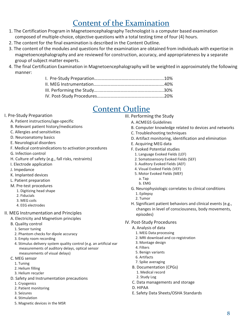#### Content of the Examination

- 1. The Certification Program in Magnetoencephalography Technologist is a computer based examination composed of multiple-choice, objective questions with a total testing time of four (4) hours.
- 2. The content for the final examination is described in the Content Outline.
- 3. The content of the modules and questions for the examination are obtained from individuals with expertise in magnetoencephalography and are reviewed for construction, accuracy, and appropriateness by a separate group of subject matter experts.
- 4. The final Certification Examination in Magnetoencephalography will be weighted in approximately the following manner:

#### Content Outline

- I. Pre-Study Preparation
	- A. Patient instructions/age-specific
	- B. Relevant patient history/medications
	- C. Allergies and sensitivities
	- D. Neuroanatomy basics
	- E. Neurological disorders
	- F. Medical contraindications to activation procedures
	- G. Infection control
	- H. Culture of safety (e.g., fall risks, restraints)
	- I. Electrode application
	- J. Impedance
	- K. Implanted devices
	- L. Patient preparation
	- M. Pre-test procedures
		- 1. Digitizing head shape
		- 2. Fiducials
		- 3. MEG coils
		- 4. EEG electrodes
- II. MEG Instrumentation and Principles
	- A. Electricity and Magnetism principles
	- B. Quality control
		- 1. Sensor tuning
		- 2. Phantom checks for dipole accuracy
		- 3. Empty room recording
		- 4. Stimulus delivery system quality control (e.g. an artificial ear measurements of auditory delays, optical sensor measurements of visual delays)
	- C. MEG sensor
		- 1. Tuning
		- 2. Helium filling
		- 3. Helium recycler
	- D. Safety and Instrumentation precautions
		- 1. Cryogenics
		- 2. Patient monitoring
		- 3. Seizures
		- 4. Stimulation
		- 5. Magnetic devices in the MSR
- III. Performing the Study
	- A. ACMEGS Guidelines
	- B. Computer knowledge related to devices and networks
	- C. Troubleshooting techniques
	- D. Artifact monitoring, identification and elimination
	- E. Acquiring MEG data
	- F. Evoked Potential studies
		- 1. Language Evoked Fields (LEF)
		- 2. Somatosensory Evoked Fields (SEF)
		- 3. Auditory Evoked Fields (AEF)
		- 4. Visual Evoked Fields (VEF)
		- 5. Motor Evoked Fields (MEF)
			- a. Tap
			- b. EMG
	- G. Neurophysiologic correlates to clinical conditions 1. Epilepsy
		- 2. Tumor
	- H. Significant patient behaviors and clinical events (e.g., changes in level of consciousness, body movements, episodes)

#### IV. Post-Study Procedures

- A. Analysis of data
	- 1. MEG Data processing
	- 2. MRI download and co-registration
	- 3. Montage design
	- 4. Filters
	- 5. Benign variants
	- 6. Artifacts
	- 7. Spike averaging
- B. Documentation (CPGs)
	- 1. Medical record
	- 2. Study Log
- C. Data managements and storage
- D. HIPAA
- E. Safety Data Sheets/OSHA Standards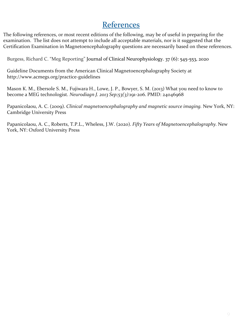#### References

The following references, or most recent editions of the following, may be of useful in preparing for the examination. The list does not attempt to include all acceptable materials, nor is it suggested that the Certification Examination in Magnetoencephalography questions are necessarily based on these references.

Burgess, Richard C. "Meg Reporting" Journal of Clinical Neurophysiology. 37 (6): 545-553, 2020

Guideline Documents from the American Clinical Magnetoencephalography Society at http://www.acmegs.org/practice-guidelines

Mason K. M., Ebersole S. M., Fujiwara H., Lowe, J. P., Bowyer, S. M. (2013) What you need to know to become a MEG technologist. *Neurodiagn J. 2013 Sep;53(3)*:191-206. PMID: 24046968

Papanicolaou, A. C. (2009). *Clinical magnetoencephalography and magnetic source imaging.* New York, NY: Cambridge University Press

Papanicolaou, A. C., Roberts, T.P.L., Wheless, J.W. (2020). *Fifty Years of Magnetoencephalography.* New York, NY: Oxford University Press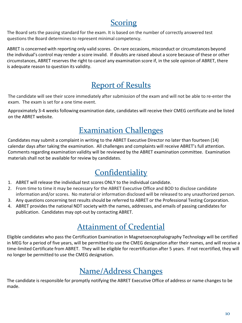#### Scoring

The Board sets the passing standard for the exam. It is based on the number of correctly answered test questions the Board determines to represent minimal competency.

ABRET is concerned with reporting only valid scores. On rare occasions, misconduct or circumstances beyond the individual's control may render a score invalid. If doubts are raised about a score because of these or other circumstances, ABRET reserves the right to cancel any examination score if, in the sole opinion of ABRET, there is adequate reason to question its validity.

#### Report of Results

The candidate will see their score immediately after submission of the exam and will not be able to re-enter the exam. The exam is set for a one time event.

Approximately 3-4 weeks following examination date, candidates will receive their CMEG certificate and be listed on the ABRET website.

#### Examination Challenges

Candidates may submit a complaint in writing to the ABRET Executive Director no later than fourteen (14) calendar days after taking the examination. All challenges and complaints will receive ABRET's full attention. Comments regarding examination validity will be reviewed by the ABRET examination committee. Examination materials shall not be available for review by candidates.

### **Confidentiality**

- 1. ABRET will release the individual test scores ONLY to the individual candidate.
- 2. From time to time it may be necessary for the ABRET Executive Office and BOD to disclose candidate information and/or scores. No material or information disclosed will be released to any unauthorized person.
- 3. Any questions concerning test results should be referred to ABRET or the Professional Testing Corporation.
- 4. ABRET provides the national NDT society with the names, addresses, and emails of passing candidates for publication. Candidates may opt-out by contacting ABRET.

## Attainment of Credential

Eligible candidates who pass the Certification Examination in Magnetoencephalography Technology will be certified in MEG for a period of five years, will be permitted to use the CMEG designation after their names, and will receive a time-limited Certificate from ABRET. They will be eligible for recertification after 5 years. If not recertified, they will no longer be permitted to use the CMEG designation.

#### Name/Address Changes

The candidate is responsible for promptly notifying the ABRET Executive Office of address or name changes to be made.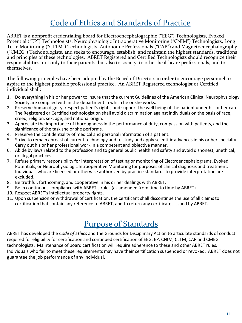#### Code of Ethics and Standards of Practice

ABRET is a nonprofit credentialing board for Electroencephalographic ("EEG") Technologists, Evoked Potential ("EP") Technologists, Neurophysiologic Intraoperative Monitoring ("CNIM") Technologists, Long Term Monitoring ("CLTM") Technologists, Autonomic Professionals ("CAP") and Magnetoencephalography ("CMEG") Techonologists, and seeks to encourage, establish, and maintain the highest standards, traditions and principles of these technologies. ABRET Registered and Certified Technologists should recognize their responsibilities, not only to their patients, but also to society, to other healthcare professionals, and to themselves.

The following principles have been adopted by the Board of Directors in order to encourage personnel to aspire to the highest possible professional practice. An ABRET Registered technologist or Certified individual shall:

- 1. Do everything in his or her power to insure that the current Guidelines of the American Clinical Neurophysiology Society are complied with in the department in which he or she works.
- 2. Preserve human dignity, respect patient's rights, and support the well being of the patient under his or her care. The Registered or Certified technologist on shall avoid discrimination against individuals on the basis of race, creed, religion, sex, age, and national origin.
- 3. Appreciate the importance of thoroughness in the performance of duty, compassion with patients, and the significance of the task she or she performs.
- 4. Preserve the confidentiality of medical and personal information of a patient.
- 5. Strive to remain abreast of current technology and to study and apply scientific advances in his or her specialty. Carry out his or her professional work in a competent and objective manner.
- 6. Abide by laws related to the profession and to general public health and safety and avoid dishonest, unethical, or illegal practices.
- 7. Refuse primary responsibility for interpretation of testing or monitoring of Electroencephalograms, Evoked Potentials, or Neurophysiologic Intraoperative Monitoring for purposes of clinical diagnosis and treatment. Individuals who are licensed or otherwise authorized by practice standards to provide interpretation are excluded.
- 8. Be truthful, forthcoming, and cooperative in his or her dealings with ABRET.
- 9. Be in continuous compliance with ABRET's rules (as amended from time to time by ABRET).
- 10. Respect ABRET's intellectual property rights.
- 11. Upon suspension or withdrawal of certification, the certificant shall discontinue the use of all claims to certification that contain any reference to ABRET, and to return any certificates issued by ABRET.

#### Purpose of Standards

ABRET has developed the *Code of Ethics* and the Grounds for Disciplinary Action to articulate standards of conduct required for eligibility for certification and continued certification of EEG, EP, CNIM, CLTM, CAP and CMEG technologists. Maintenance of board certification will require adherence to these and other ABRET rules. Individuals who fail to meet these requirements may have their certification suspended or revoked. ABRET does not guarantee the job performance of any individual.